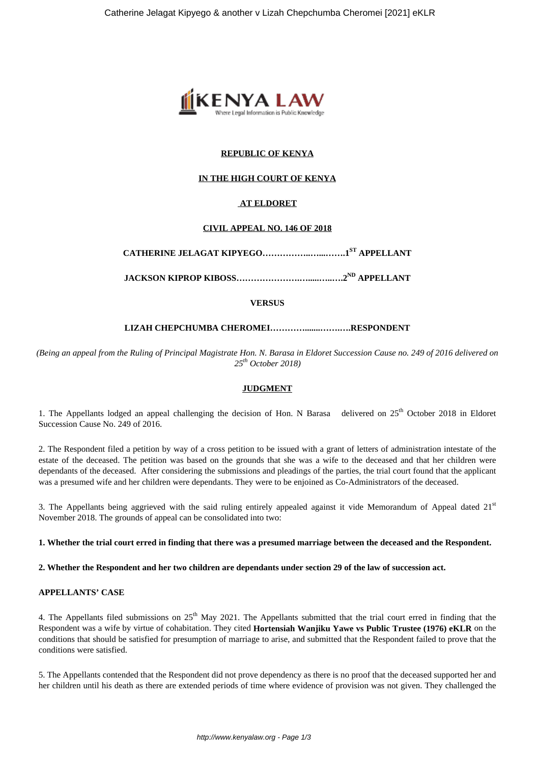

# **REPUBLIC OF KENYA**

## **IN THE HIGH COURT OF KENYA**

# **AT ELDORET**

## **CIVIL APPEAL NO. 146 OF 2018**

**CATHERINE JELAGAT KIPYEGO……………..…...…….1ST APPELLANT**

**JACKSON KIPROP KIBOSS………………….….....…..….2ND APPELLANT**

**VERSUS**

#### **LIZAH CHEPCHUMBA CHEROMEI………….......…….….RESPONDENT**

*(Being an appeal from the Ruling of Principal Magistrate Hon. N. Barasa in Eldoret Succession Cause no. 249 of 2016 delivered on 25th October 2018)*

# **JUDGMENT**

1. The Appellants lodged an appeal challenging the decision of Hon. N Barasa delivered on  $25<sup>th</sup>$  October 2018 in Eldoret Succession Cause No. 249 of 2016.

2. The Respondent filed a petition by way of a cross petition to be issued with a grant of letters of administration intestate of the estate of the deceased. The petition was based on the grounds that she was a wife to the deceased and that her children were dependants of the deceased. After considering the submissions and pleadings of the parties, the trial court found that the applicant was a presumed wife and her children were dependants. They were to be enjoined as Co-Administrators of the deceased.

3. The Appellants being aggrieved with the said ruling entirely appealed against it vide Memorandum of Appeal dated  $21<sup>st</sup>$ November 2018. The grounds of appeal can be consolidated into two:

#### **1. Whether the trial court erred in finding that there was a presumed marriage between the deceased and the Respondent.**

**2. Whether the Respondent and her two children are dependants under section 29 of the law of succession act.**

### **APPELLANTS' CASE**

4. The Appellants filed submissions on  $25<sup>th</sup>$  May 2021. The Appellants submitted that the trial court erred in finding that the Respondent was a wife by virtue of cohabitation. They cited **Hortensiah Wanjiku Yawe vs Public Trustee (1976) eKLR** on the conditions that should be satisfied for presumption of marriage to arise, and submitted that the Respondent failed to prove that the conditions were satisfied.

5. The Appellants contended that the Respondent did not prove dependency as there is no proof that the deceased supported her and her children until his death as there are extended periods of time where evidence of provision was not given. They challenged the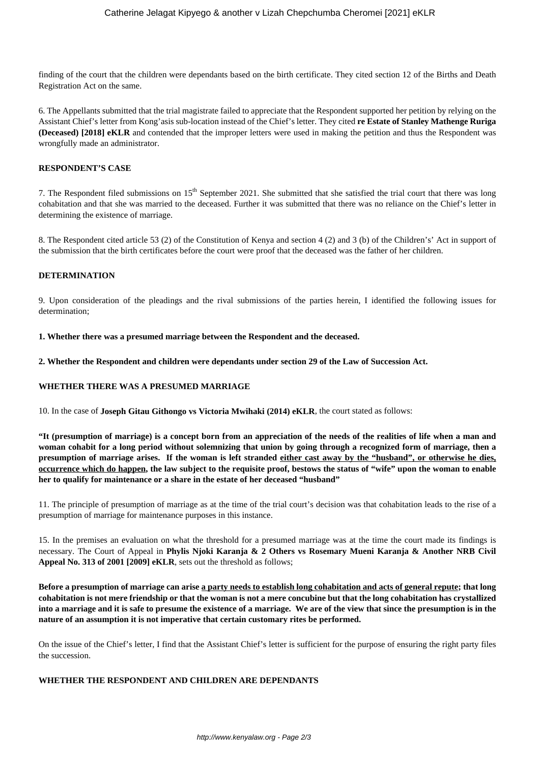finding of the court that the children were dependants based on the birth certificate. They cited section 12 of the Births and Death Registration Act on the same.

6. The Appellants submitted that the trial magistrate failed to appreciate that the Respondent supported her petition by relying on the Assistant Chief's letter from Kong'asis sub-location instead of the Chief's letter. They cited **re Estate of Stanley Mathenge Ruriga (Deceased) [2018] eKLR** and contended that the improper letters were used in making the petition and thus the Respondent was wrongfully made an administrator.

## **RESPONDENT'S CASE**

7. The Respondent filed submissions on  $15<sup>th</sup>$  September 2021. She submitted that she satisfied the trial court that there was long cohabitation and that she was married to the deceased. Further it was submitted that there was no reliance on the Chief's letter in determining the existence of marriage.

8. The Respondent cited article 53 (2) of the Constitution of Kenya and section 4 (2) and 3 (b) of the Children's' Act in support of the submission that the birth certificates before the court were proof that the deceased was the father of her children.

#### **DETERMINATION**

9. Upon consideration of the pleadings and the rival submissions of the parties herein, I identified the following issues for determination;

**1. Whether there was a presumed marriage between the Respondent and the deceased.**

**2. Whether the Respondent and children were dependants under section 29 of the Law of Succession Act.**

## **WHETHER THERE WAS A PRESUMED MARRIAGE**

10. In the case of **Joseph Gitau Githongo vs Victoria Mwihaki (2014) eKLR**, the court stated as follows:

**"It (presumption of marriage) is a concept born from an appreciation of the needs of the realities of life when a man and woman cohabit for a long period without solemnizing that union by going through a recognized form of marriage, then a presumption of marriage arises. If the woman is left stranded either cast away by the "husband", or otherwise he dies, occurrence which do happen, the law subject to the requisite proof, bestows the status of "wife" upon the woman to enable her to qualify for maintenance or a share in the estate of her deceased "husband"**

11. The principle of presumption of marriage as at the time of the trial court's decision was that cohabitation leads to the rise of a presumption of marriage for maintenance purposes in this instance.

15. In the premises an evaluation on what the threshold for a presumed marriage was at the time the court made its findings is necessary. The Court of Appeal in **Phylis Njoki Karanja & 2 Others vs Rosemary Mueni Karanja & Another NRB Civil Appeal No. 313 of 2001 [2009] eKLR**, sets out the threshold as follows;

**Before a presumption of marriage can arise a party needs to establish long cohabitation and acts of general repute; that long cohabitation is not mere friendship or that the woman is not a mere concubine but that the long cohabitation has crystallized into a marriage and it is safe to presume the existence of a marriage. We are of the view that since the presumption is in the nature of an assumption it is not imperative that certain customary rites be performed.**

On the issue of the Chief's letter, I find that the Assistant Chief's letter is sufficient for the purpose of ensuring the right party files the succession.

# **WHETHER THE RESPONDENT AND CHILDREN ARE DEPENDANTS**